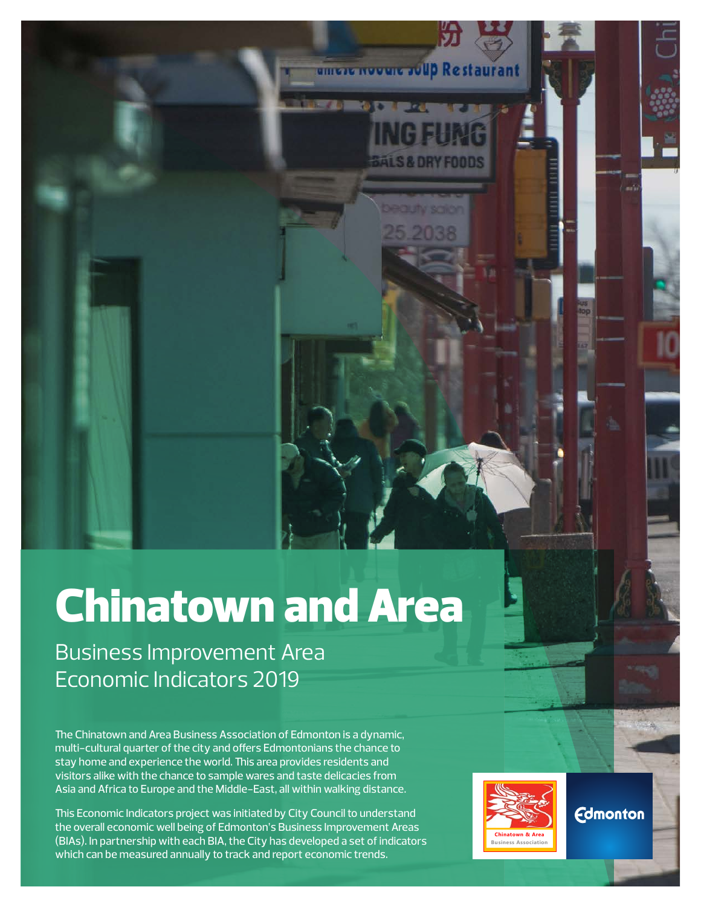# Chinatown and Area

Business Improvement Area Economic Indicators 2019

The Chinatown and Area Business Association of Edmonton is a dynamic, multi-cultural quarter of the city and offers Edmontonians the chance to stay home and experience the world. This area provides residents and visitors alike with the chance to sample wares and taste delicacies from Asia and Africa to Europe and the Middle-East, all within walking distance.

This Economic Indicators project was initiated by City Council to understand the overall economic well being of Edmonton's Business Improvement Areas (BIAs). In partnership with each BIA, the City has developed a set of indicators which can be measured annually to track and report economic trends.



amere nooure roup Restaurant

**Edmonton**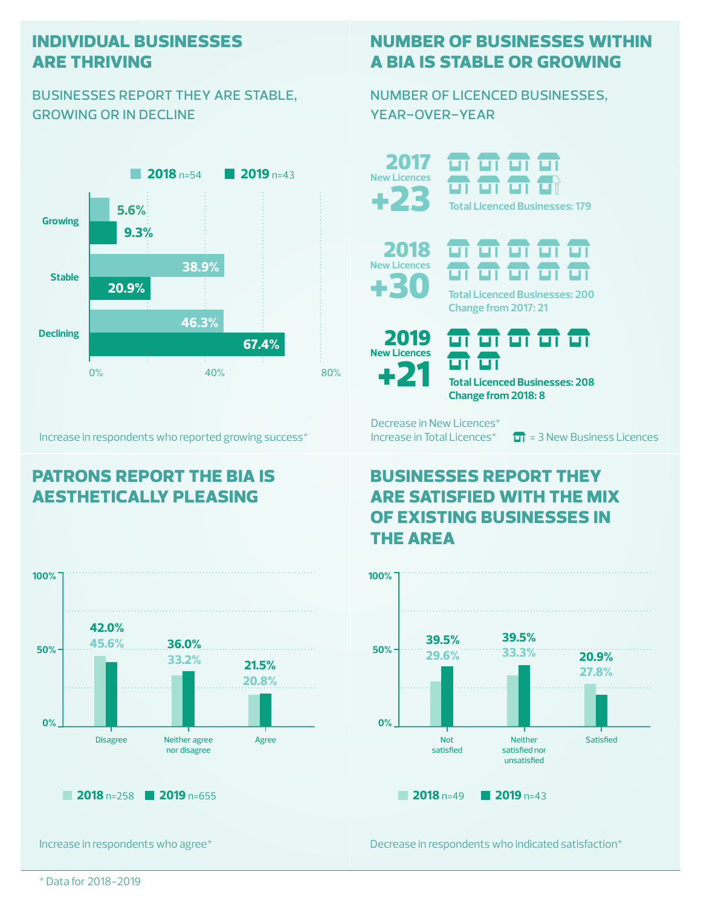#### **individual businesses are thriving**

#### businesses report they are stable, growing or in decline



Increase in respondents who reported growing success\*

## **patrons report the bia is aesthetically pleasing**



Increase in respondents who agree\*

## **number of businesses within a bia is stable or growing**

number of licenced businesses, year-over-year

+23 2017 **New Licences**

ज ज ज **Total Licenced Businesses: 179**





**Total Licenced Businesses: 200 Change from 2017: 21**



<del>oi oi oi oi oi</del> **Total Licenced Businesses: 208**

**Change from 2018: 8**

Decrease in New Licences\*

Increase in Total Licences<sup>\*</sup>  $\boxed{11}$  = 3 New Business Licences

## **businesses report they are satisfied with the mix of existing businesses in the area**



Decrease in respondents who indicated satisfaction\*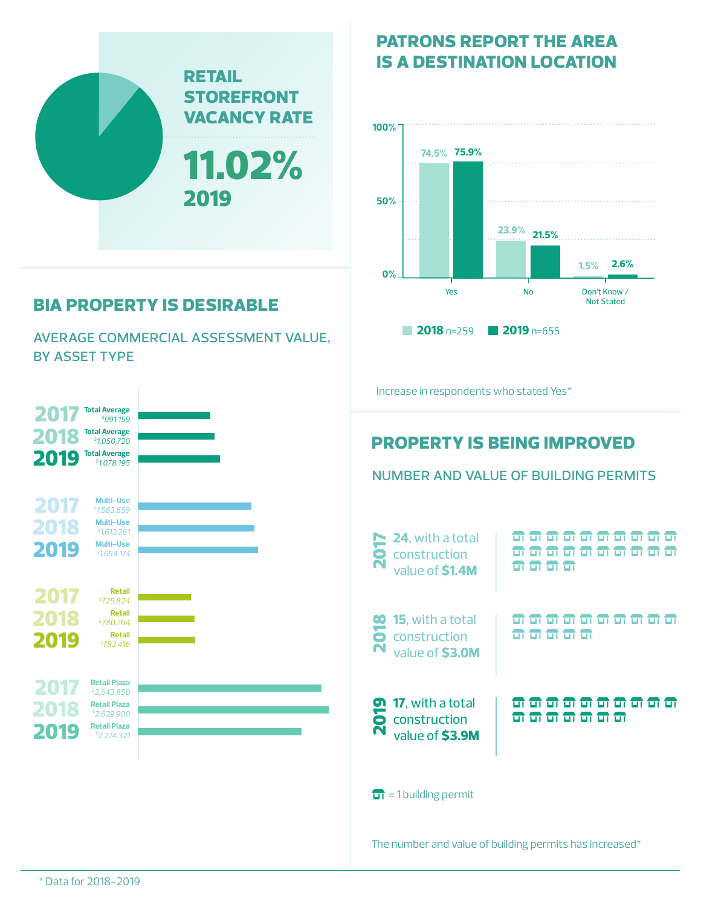

# **bia property is desirable**

average commercial assessment value, by asset type



#### **patrons report the area is a destination location**